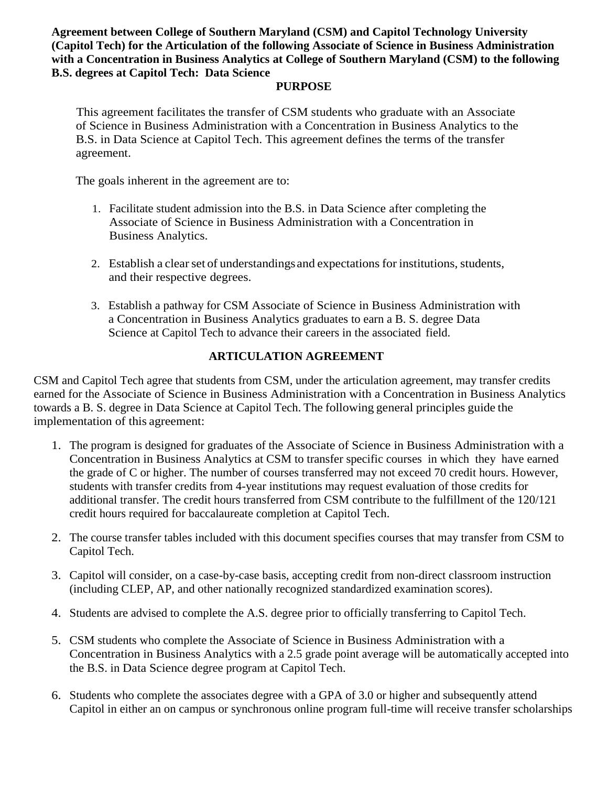**Agreement between College of Southern Maryland (CSM) and Capitol Technology University (Capitol Tech) for the Articulation of the following Associate of Science in Business Administration with a Concentration in Business Analytics at College of Southern Maryland (CSM) to the following B.S. degrees at Capitol Tech: Data Science**

## **PURPOSE**

This agreement facilitates the transfer of CSM students who graduate with an Associate of Science in Business Administration with a Concentration in Business Analytics to the B.S. in Data Science at Capitol Tech. This agreement defines the terms of the transfer agreement.

The goals inherent in the agreement are to:

- 1. Facilitate student admission into the B.S. in Data Science after completing the Associate of Science in Business Administration with a Concentration in Business Analytics.
- 2. Establish a clear set of understandings and expectations for institutions, students, and their respective degrees.
- 3. Establish a pathway for CSM Associate of Science in Business Administration with a Concentration in Business Analytics graduates to earn a B. S. degree Data Science at Capitol Tech to advance their careers in the associated field.

## **ARTICULATION AGREEMENT**

CSM and Capitol Tech agree that students from CSM, under the articulation agreement, may transfer credits earned for the Associate of Science in Business Administration with a Concentration in Business Analytics towards a B. S. degree in Data Science at Capitol Tech. The following general principles guide the implementation of this agreement:

- 1. The program is designed for graduates of the Associate of Science in Business Administration with a Concentration in Business Analytics at CSM to transfer specific courses in which they have earned the grade of C or higher. The number of courses transferred may not exceed 70 credit hours. However, students with transfer credits from 4-year institutions may request evaluation of those credits for additional transfer. The credit hours transferred from CSM contribute to the fulfillment of the 120/121 credit hours required for baccalaureate completion at Capitol Tech.
- 2. The course transfer tables included with this document specifies courses that may transfer from CSM to Capitol Tech.
- 3. Capitol will consider, on a case-by-case basis, accepting credit from non-direct classroom instruction (including CLEP, AP, and other nationally recognized standardized examination scores).
- 4. Students are advised to complete the A.S. degree prior to officially transferring to Capitol Tech.
- 5. CSM students who complete the Associate of Science in Business Administration with a Concentration in Business Analytics with a 2.5 grade point average will be automatically accepted into the B.S. in Data Science degree program at Capitol Tech.
- 6. Students who complete the associates degree with a GPA of 3.0 or higher and subsequently attend Capitol in either an on campus or synchronous online program full-time will receive transfer scholarships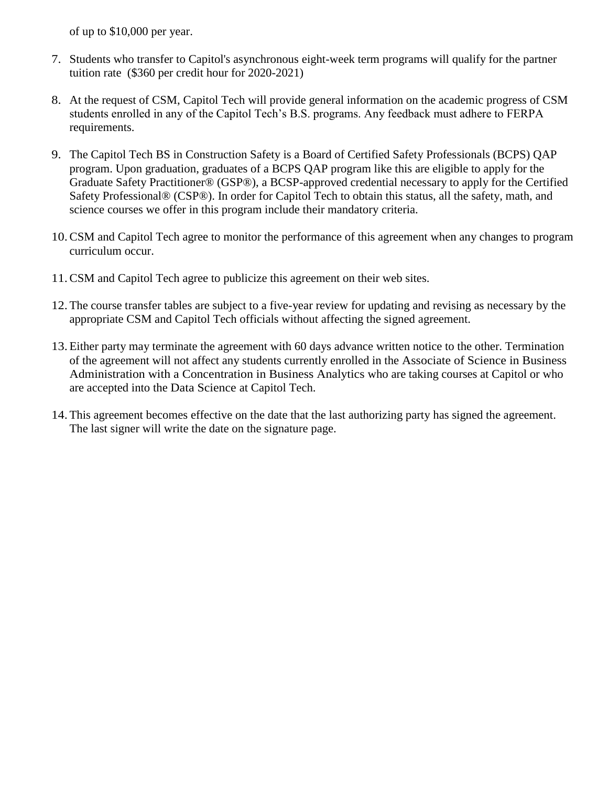of up to \$10,000 per year.

- 7. Students who transfer to Capitol's asynchronous eight-week term programs will qualify for the partner tuition rate (\$360 per credit hour for 2020-2021)
- 8. At the request of CSM, Capitol Tech will provide general information on the academic progress of CSM students enrolled in any of the Capitol Tech's B.S. programs. Any feedback must adhere to FERPA requirements.
- 9. The Capitol Tech BS in Construction Safety is a Board of Certified Safety Professionals (BCPS) QAP program. Upon graduation, graduates of a BCPS QAP program like this are eligible to apply for the Graduate Safety Practitioner® (GSP®), a BCSP-approved credential necessary to apply for the Certified Safety Professional® (CSP®). In order for Capitol Tech to obtain this status, all the safety, math, and science courses we offer in this program include their mandatory criteria.
- 10.CSM and Capitol Tech agree to monitor the performance of this agreement when any changes to program curriculum occur.
- 11.CSM and Capitol Tech agree to publicize this agreement on their web sites.
- 12.The course transfer tables are subject to a five-year review for updating and revising as necessary by the appropriate CSM and Capitol Tech officials without affecting the signed agreement.
- 13.Either party may terminate the agreement with 60 days advance written notice to the other. Termination of the agreement will not affect any students currently enrolled in the Associate of Science in Business Administration with a Concentration in Business Analytics who are taking courses at Capitol or who are accepted into the Data Science at Capitol Tech.
- 14.This agreement becomes effective on the date that the last authorizing party has signed the agreement. The last signer will write the date on the signature page.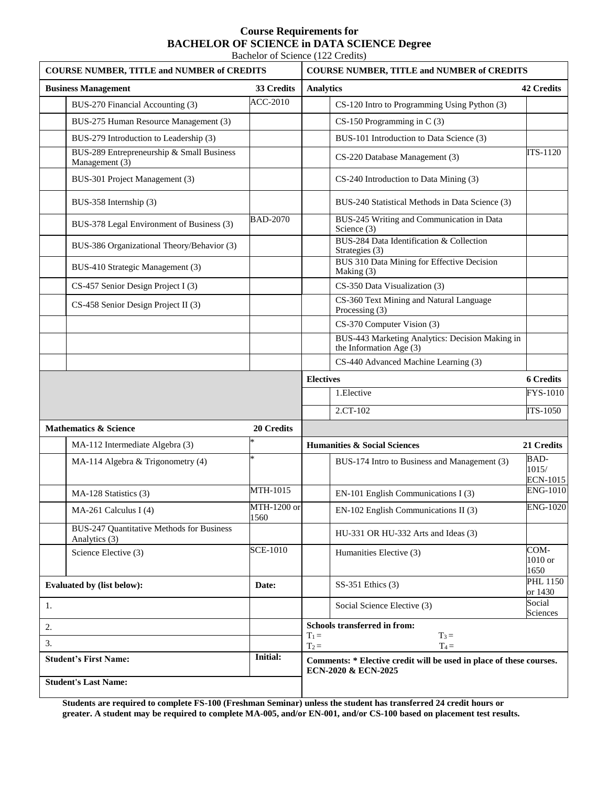## **Course Requirements for BACHELOR OF SCIENCE in DATA SCIENCE Degree**

Bachelor of Science (122 Credits)

| <b>COURSE NUMBER, TITLE and NUMBER of CREDITS</b> |                                                             |                                          | <b>COURSE NUMBER, TITLE and NUMBER of CREDITS</b>                                          |                                  |  |
|---------------------------------------------------|-------------------------------------------------------------|------------------------------------------|--------------------------------------------------------------------------------------------|----------------------------------|--|
| 33 Credits<br><b>Business Management</b>          |                                                             |                                          | <b>42 Credits</b><br><b>Analytics</b>                                                      |                                  |  |
|                                                   | BUS-270 Financial Accounting (3)                            | <b>ACC-2010</b>                          | CS-120 Intro to Programming Using Python (3)                                               |                                  |  |
|                                                   | BUS-275 Human Resource Management (3)                       |                                          | $CS-150$ Programming in C $(3)$                                                            |                                  |  |
|                                                   | BUS-279 Introduction to Leadership (3)                      |                                          | BUS-101 Introduction to Data Science (3)                                                   |                                  |  |
|                                                   | BUS-289 Entrepreneurship & Small Business<br>Management (3) |                                          | CS-220 Database Management (3)                                                             | ITS-1120                         |  |
|                                                   | BUS-301 Project Management (3)                              |                                          | CS-240 Introduction to Data Mining (3)                                                     |                                  |  |
|                                                   | BUS-358 Internship (3)                                      |                                          | BUS-240 Statistical Methods in Data Science (3)                                            |                                  |  |
|                                                   | BUS-378 Legal Environment of Business (3)                   | <b>BAD-2070</b>                          | BUS-245 Writing and Communication in Data<br>Science (3)                                   |                                  |  |
|                                                   | BUS-386 Organizational Theory/Behavior (3)                  |                                          | BUS-284 Data Identification & Collection<br>Strategies (3)                                 |                                  |  |
|                                                   | BUS-410 Strategic Management (3)                            |                                          | BUS 310 Data Mining for Effective Decision<br>Making (3)                                   |                                  |  |
|                                                   | CS-457 Senior Design Project I (3)                          |                                          | CS-350 Data Visualization (3)                                                              |                                  |  |
|                                                   | CS-458 Senior Design Project II (3)                         |                                          | CS-360 Text Mining and Natural Language<br>Processing (3)                                  |                                  |  |
|                                                   |                                                             |                                          | CS-370 Computer Vision (3)                                                                 |                                  |  |
|                                                   |                                                             |                                          | BUS-443 Marketing Analytics: Decision Making in<br>the Information Age $(3)$               |                                  |  |
|                                                   |                                                             |                                          | CS-440 Advanced Machine Learning (3)                                                       |                                  |  |
|                                                   |                                                             |                                          | <b>Electives</b>                                                                           | <b>6 Credits</b>                 |  |
|                                                   |                                                             |                                          | 1.Elective                                                                                 | FYS-1010                         |  |
|                                                   |                                                             |                                          | 2.CT-102                                                                                   | ITS-1050                         |  |
| <b>Mathematics &amp; Science</b>                  |                                                             | 20 Credits                               |                                                                                            |                                  |  |
|                                                   | MA-112 Intermediate Algebra (3)                             |                                          | <b>Humanities &amp; Social Sciences</b>                                                    | 21 Credits                       |  |
|                                                   | MA-114 Algebra & Trigonometry (4)                           | $\ast$                                   | BUS-174 Intro to Business and Management (3)                                               | BAD-<br>1015/<br><b>ECN-1015</b> |  |
|                                                   | MA-128 Statistics (3)                                       | MTH-1015                                 | EN-101 English Communications I (3)                                                        | <b>ENG-1010</b>                  |  |
|                                                   | MA-261 Calculus I (4)                                       | MTH-1200 or<br>1560                      | EN-102 English Communications II (3)                                                       | <b>ENG-1020</b>                  |  |
|                                                   | BUS-247 Quantitative Methods for Business<br>Analytics (3)  |                                          | HU-331 OR HU-332 Arts and Ideas (3)                                                        |                                  |  |
|                                                   | Science Elective (3)                                        | <b>SCE-1010</b>                          | Humanities Elective (3)                                                                    | COM-<br>1010 or<br>1650          |  |
| <b>Evaluated by (list below):</b>                 |                                                             | Date:                                    | SS-351 Ethics (3)                                                                          | <b>PHL 1150</b><br>or 1430       |  |
| 1.                                                |                                                             |                                          | Social Science Elective (3)                                                                | Social<br>Sciences               |  |
| 2.                                                |                                                             | Schools transferred in from:             |                                                                                            |                                  |  |
| 3.                                                |                                                             | $T_3 =$<br>$T_1 =$<br>$T_4 =$<br>$T_2 =$ |                                                                                            |                                  |  |
| <b>Initial:</b><br><b>Student's First Name:</b>   |                                                             |                                          | Comments: * Elective credit will be used in place of these courses.<br>ECN-2020 & ECN-2025 |                                  |  |
| <b>Student's Last Name:</b>                       |                                                             |                                          |                                                                                            |                                  |  |

**Students are required to complete FS-100 (Freshman Seminar) unless the student has transferred 24 credit hours or greater. A student may be required to complete MA-005, and/or EN-001, and/or CS-100 based on placement test results.**